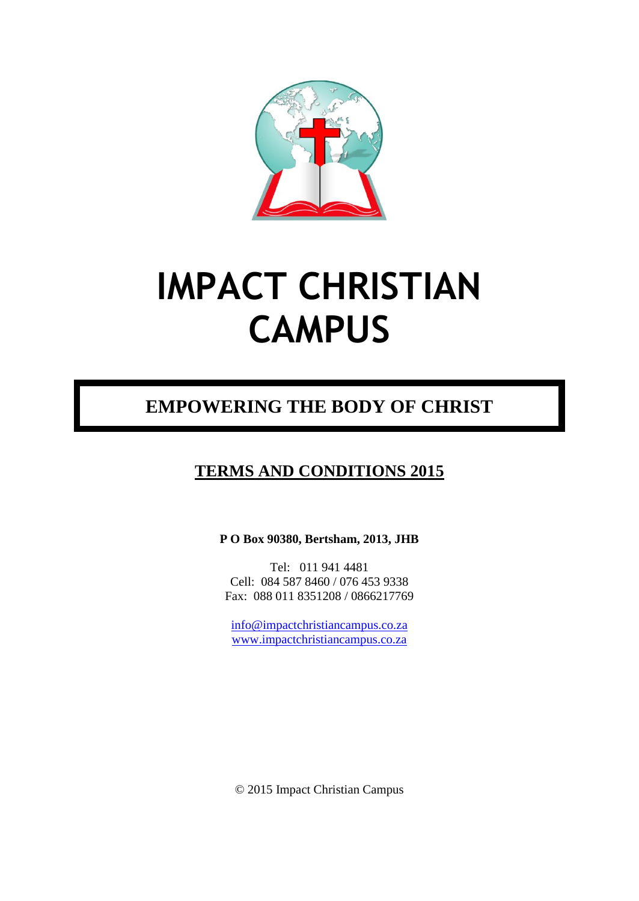

# **IMPACT CHRISTIAN CAMPUS**

# **EMPOWERING THE BODY OF CHRIST**

## **TERMS AND CONDITIONS 2015**

**P O Box 90380, Bertsham, 2013, JHB**

Tel: 011 941 4481 Cell: 084 587 8460 / 076 453 9338 Fax: 088 011 8351208 / 0866217769

[info@impactchristiancampus.co.za](mailto:info@impactchristiancampus.co.za) [www.impactchristiancampus.co.za](http://www.impactchristiancampus.co.za/)

© 2015 Impact Christian Campus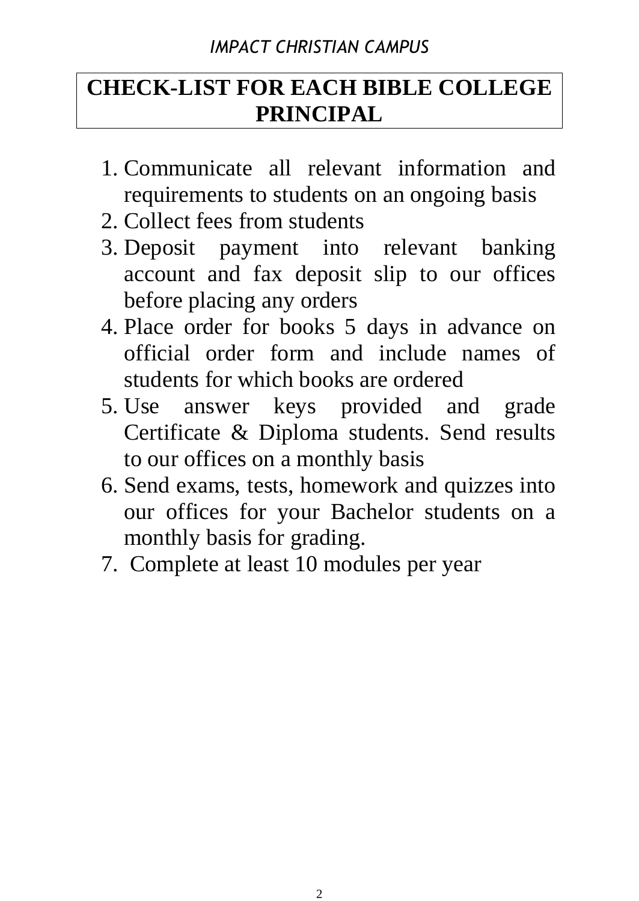# *IMPACT CHRISTIAN CAMPUS*

# **CHECK-LIST FOR EACH BIBLE COLLEGE PRINCIPAL**

- 1. Communicate all relevant information and requirements to students on an ongoing basis
- 2. Collect fees from students
- 3. Deposit payment into relevant banking account and fax deposit slip to our offices before placing any orders
- 4. Place order for books 5 days in advance on official order form and include names of students for which books are ordered
- 5. Use answer keys provided and grade Certificate & Diploma students. Send results to our offices on a monthly basis
- 6. Send exams, tests, homework and quizzes into our offices for your Bachelor students on a monthly basis for grading.
- 7. Complete at least 10 modules per year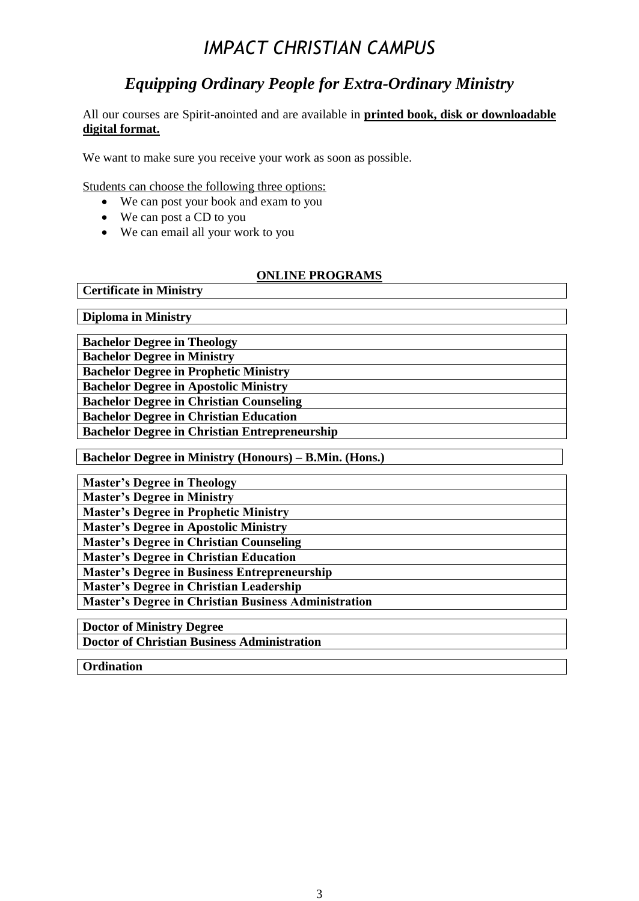# *IMPACT CHRISTIAN CAMPUS*

### *Equipping Ordinary People for Extra-Ordinary Ministry*

All our courses are Spirit-anointed and are available in **printed book, disk or downloadable digital format.**

We want to make sure you receive your work as soon as possible.

Students can choose the following three options:

- We can post your book and exam to you
- We can post a CD to you
- We can email all your work to you

#### **ONLINE PROGRAMS**

**Diploma in Ministry** 

**Certificate in Ministry** 

**Bachelor Degree in Theology** 

**Bachelor Degree in Ministry** 

**Bachelor Degree in Prophetic Ministry** 

**Bachelor Degree in Apostolic Ministry** 

**Bachelor Degree in Christian Counseling** 

**Bachelor Degree in Christian Education** 

**Bachelor Degree in Christian Entrepreneurship**

**Bachelor Degree in Ministry (Honours) – B.Min. (Hons.)**

**Master's Degree in Theology Master's Degree in Ministry Master's Degree in Prophetic Ministry Master's Degree in Apostolic Ministry Master's Degree in Christian Counseling Master's Degree in Christian Education Master's Degree in Business Entrepreneurship Master's Degree in Christian Leadership Master's Degree in Christian Business Administration Doctor of Ministry Degree** 

**Doctor of Christian Business Administration** 

**Ordination**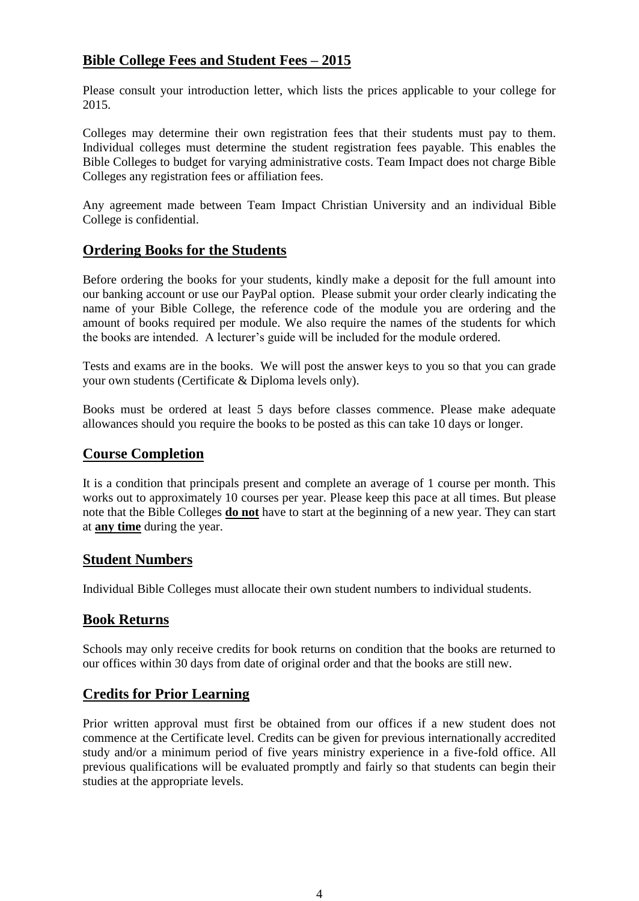#### **Bible College Fees and Student Fees – 2015**

Please consult your introduction letter, which lists the prices applicable to your college for 2015.

Colleges may determine their own registration fees that their students must pay to them. Individual colleges must determine the student registration fees payable. This enables the Bible Colleges to budget for varying administrative costs. Team Impact does not charge Bible Colleges any registration fees or affiliation fees.

Any agreement made between Team Impact Christian University and an individual Bible College is confidential.

#### **Ordering Books for the Students**

Before ordering the books for your students, kindly make a deposit for the full amount into our banking account or use our PayPal option. Please submit your order clearly indicating the name of your Bible College, the reference code of the module you are ordering and the amount of books required per module. We also require the names of the students for which the books are intended. A lecturer's guide will be included for the module ordered.

Tests and exams are in the books. We will post the answer keys to you so that you can grade your own students (Certificate & Diploma levels only).

Books must be ordered at least 5 days before classes commence. Please make adequate allowances should you require the books to be posted as this can take 10 days or longer.

#### **Course Completion**

It is a condition that principals present and complete an average of 1 course per month. This works out to approximately 10 courses per year. Please keep this pace at all times. But please note that the Bible Colleges **do not** have to start at the beginning of a new year. They can start at **any time** during the year.

#### **Student Numbers**

Individual Bible Colleges must allocate their own student numbers to individual students.

#### **Book Returns**

Schools may only receive credits for book returns on condition that the books are returned to our offices within 30 days from date of original order and that the books are still new.

#### **Credits for Prior Learning**

Prior written approval must first be obtained from our offices if a new student does not commence at the Certificate level. Credits can be given for previous internationally accredited study and/or a minimum period of five years ministry experience in a five-fold office. All previous qualifications will be evaluated promptly and fairly so that students can begin their studies at the appropriate levels.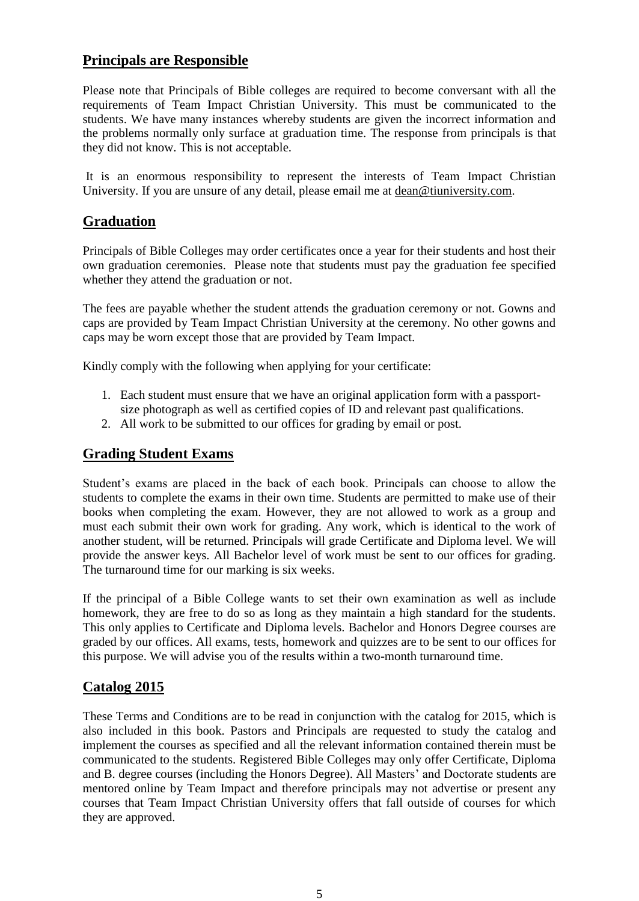#### **Principals are Responsible**

Please note that Principals of Bible colleges are required to become conversant with all the requirements of Team Impact Christian University. This must be communicated to the students. We have many instances whereby students are given the incorrect information and the problems normally only surface at graduation time. The response from principals is that they did not know. This is not acceptable.

It is an enormous responsibility to represent the interests of Team Impact Christian University. If you are unsure of any detail, please email me at [dean@tiuniversity.com.](mailto:dean@tiuniversity.com)

#### **Graduation**

Principals of Bible Colleges may order certificates once a year for their students and host their own graduation ceremonies. Please note that students must pay the graduation fee specified whether they attend the graduation or not.

The fees are payable whether the student attends the graduation ceremony or not. Gowns and caps are provided by Team Impact Christian University at the ceremony. No other gowns and caps may be worn except those that are provided by Team Impact.

Kindly comply with the following when applying for your certificate:

- 1. Each student must ensure that we have an original application form with a passportsize photograph as well as certified copies of ID and relevant past qualifications.
- 2. All work to be submitted to our offices for grading by email or post.

#### **Grading Student Exams**

Student's exams are placed in the back of each book. Principals can choose to allow the students to complete the exams in their own time. Students are permitted to make use of their books when completing the exam. However, they are not allowed to work as a group and must each submit their own work for grading. Any work, which is identical to the work of another student, will be returned. Principals will grade Certificate and Diploma level. We will provide the answer keys. All Bachelor level of work must be sent to our offices for grading. The turnaround time for our marking is six weeks.

If the principal of a Bible College wants to set their own examination as well as include homework, they are free to do so as long as they maintain a high standard for the students. This only applies to Certificate and Diploma levels. Bachelor and Honors Degree courses are graded by our offices. All exams, tests, homework and quizzes are to be sent to our offices for this purpose. We will advise you of the results within a two-month turnaround time.

#### **Catalog 2015**

These Terms and Conditions are to be read in conjunction with the catalog for 2015, which is also included in this book. Pastors and Principals are requested to study the catalog and implement the courses as specified and all the relevant information contained therein must be communicated to the students. Registered Bible Colleges may only offer Certificate, Diploma and B. degree courses (including the Honors Degree). All Masters' and Doctorate students are mentored online by Team Impact and therefore principals may not advertise or present any courses that Team Impact Christian University offers that fall outside of courses for which they are approved.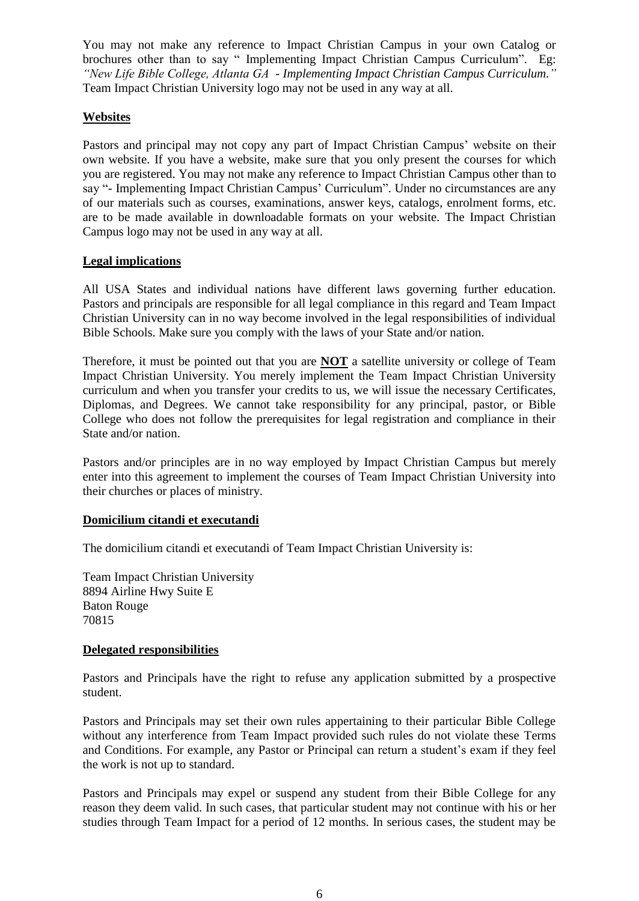You may not make any reference to Impact Christian Campus in your own Catalog or brochures other than to say " Implementing Impact Christian Campus Curriculum". Eg: *"New Life Bible College, Atlanta GA - Implementing Impact Christian Campus Curriculum."* Team Impact Christian University logo may not be used in any way at all.

#### **Websites**

Pastors and principal may not copy any part of Impact Christian Campus' website on their own website. If you have a website, make sure that you only present the courses for which you are registered. You may not make any reference to Impact Christian Campus other than to say "- Implementing Impact Christian Campus' Curriculum". Under no circumstances are any of our materials such as courses, examinations, answer keys, catalogs, enrolment forms, etc. are to be made available in downloadable formats on your website. The Impact Christian Campus logo may not be used in any way at all.

#### **Legal implications**

All USA States and individual nations have different laws governing further education. Pastors and principals are responsible for all legal compliance in this regard and Team Impact Christian University can in no way become involved in the legal responsibilities of individual Bible Schools. Make sure you comply with the laws of your State and/or nation.

Therefore, it must be pointed out that you are **NOT** a satellite university or college of Team Impact Christian University. You merely implement the Team Impact Christian University curriculum and when you transfer your credits to us, we will issue the necessary Certificates, Diplomas, and Degrees. We cannot take responsibility for any principal, pastor, or Bible College who does not follow the prerequisites for legal registration and compliance in their State and/or nation.

Pastors and/or principles are in no way employed by Impact Christian Campus but merely enter into this agreement to implement the courses of Team Impact Christian University into their churches or places of ministry.

#### **Domicilium citandi et executandi**

The domicilium citandi et executandi of Team Impact Christian University is:

Team Impact Christian University 8894 Airline Hwy Suite E Baton Rouge 70815

#### **Delegated responsibilities**

Pastors and Principals have the right to refuse any application submitted by a prospective student.

Pastors and Principals may set their own rules appertaining to their particular Bible College without any interference from Team Impact provided such rules do not violate these Terms and Conditions. For example, any Pastor or Principal can return a student's exam if they feel the work is not up to standard.

Pastors and Principals may expel or suspend any student from their Bible College for any reason they deem valid. In such cases, that particular student may not continue with his or her studies through Team Impact for a period of 12 months. In serious cases, the student may be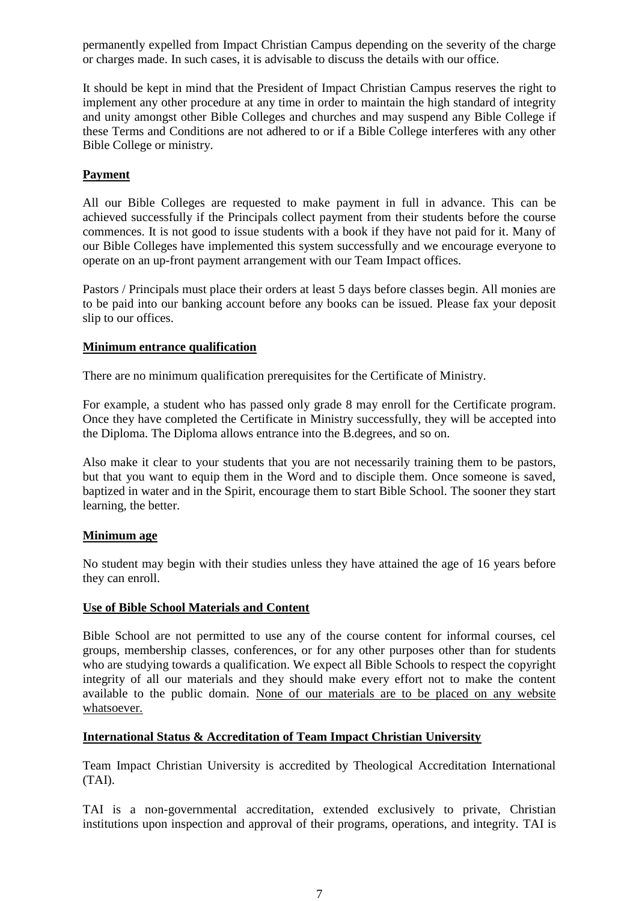permanently expelled from Impact Christian Campus depending on the severity of the charge or charges made. In such cases, it is advisable to discuss the details with our office.

It should be kept in mind that the President of Impact Christian Campus reserves the right to implement any other procedure at any time in order to maintain the high standard of integrity and unity amongst other Bible Colleges and churches and may suspend any Bible College if these Terms and Conditions are not adhered to or if a Bible College interferes with any other Bible College or ministry.

#### **Payment**

All our Bible Colleges are requested to make payment in full in advance. This can be achieved successfully if the Principals collect payment from their students before the course commences. It is not good to issue students with a book if they have not paid for it. Many of our Bible Colleges have implemented this system successfully and we encourage everyone to operate on an up-front payment arrangement with our Team Impact offices.

Pastors / Principals must place their orders at least 5 days before classes begin. All monies are to be paid into our banking account before any books can be issued. Please fax your deposit slip to our offices.

#### **Minimum entrance qualification**

There are no minimum qualification prerequisites for the Certificate of Ministry.

For example, a student who has passed only grade 8 may enroll for the Certificate program. Once they have completed the Certificate in Ministry successfully, they will be accepted into the Diploma. The Diploma allows entrance into the B.degrees, and so on.

Also make it clear to your students that you are not necessarily training them to be pastors, but that you want to equip them in the Word and to disciple them. Once someone is saved, baptized in water and in the Spirit, encourage them to start Bible School. The sooner they start learning, the better.

#### **Minimum age**

No student may begin with their studies unless they have attained the age of 16 years before they can enroll.

#### **Use of Bible School Materials and Content**

Bible School are not permitted to use any of the course content for informal courses, cel groups, membership classes, conferences, or for any other purposes other than for students who are studying towards a qualification. We expect all Bible Schools to respect the copyright integrity of all our materials and they should make every effort not to make the content available to the public domain. None of our materials are to be placed on any website whatsoever.

#### **International Status & Accreditation of Team Impact Christian University**

Team Impact Christian University is accredited by Theological Accreditation International (TAI).

TAI is a non-governmental accreditation, extended exclusively to private, Christian institutions upon inspection and approval of their programs, operations, and integrity. TAI is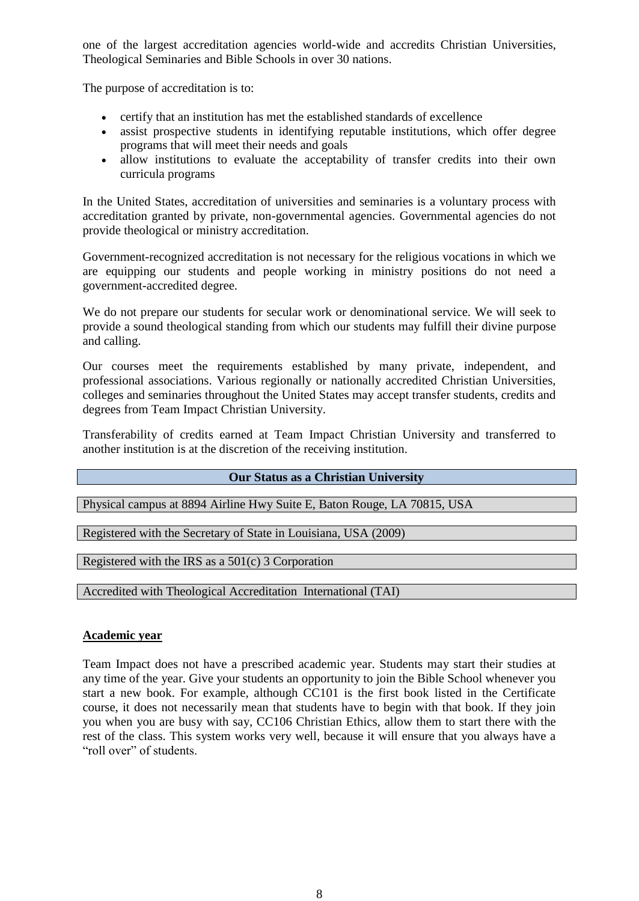one of the largest accreditation agencies world-wide and accredits Christian Universities, Theological Seminaries and Bible Schools in over 30 nations.

The purpose of accreditation is to:

- certify that an institution has met the established standards of excellence
- assist prospective students in identifying reputable institutions, which offer degree programs that will meet their needs and goals
- allow institutions to evaluate the acceptability of transfer credits into their own curricula programs

In the United States, accreditation of universities and seminaries is a voluntary process with accreditation granted by private, non-governmental agencies. Governmental agencies do not provide theological or ministry accreditation.

Government-recognized accreditation is not necessary for the religious vocations in which we are equipping our students and people working in ministry positions do not need a government-accredited degree.

We do not prepare our students for secular work or denominational service. We will seek to provide a sound theological standing from which our students may fulfill their divine purpose and calling.

Our courses meet the requirements established by many private, independent, and professional associations. Various regionally or nationally accredited Christian Universities, colleges and seminaries throughout the United States may accept transfer students, credits and degrees from Team Impact Christian University.

Transferability of credits earned at Team Impact Christian University and transferred to another institution is at the discretion of the receiving institution.

#### **Our Status as a Christian University**

Physical campus at 8894 Airline Hwy Suite E, Baton Rouge, LA 70815, USA

Registered with the Secretary of State in Louisiana, USA (2009)

Registered with the IRS as a 501(c) 3 Corporation

Accredited with Theological Accreditation International (TAI)

#### **Academic year**

Team Impact does not have a prescribed academic year. Students may start their studies at any time of the year. Give your students an opportunity to join the Bible School whenever you start a new book. For example, although CC101 is the first book listed in the Certificate course, it does not necessarily mean that students have to begin with that book. If they join you when you are busy with say, CC106 Christian Ethics, allow them to start there with the rest of the class. This system works very well, because it will ensure that you always have a "roll over" of students.